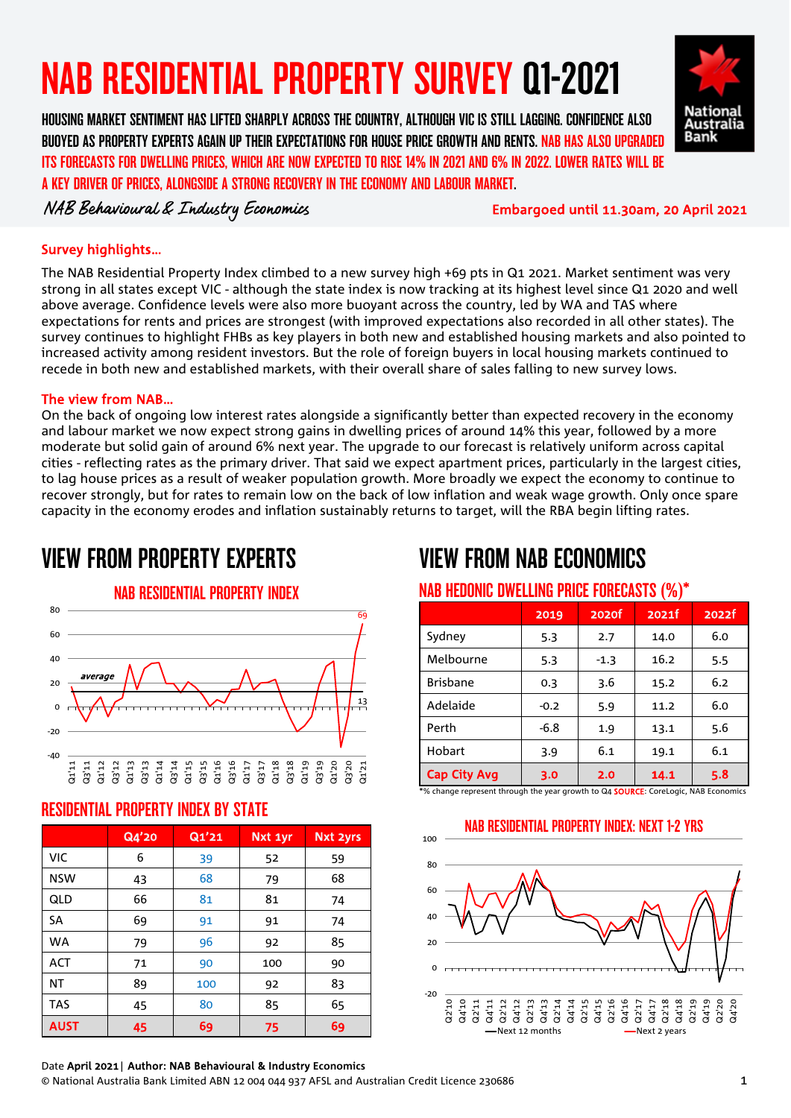# NAB RESIDENTIAL PROPERTY SURVEY Q1-2021

HOUSING MARKET SENTIMENT HAS LIFTED SHARPLY ACROSS THE COUNTRY, ALTHOUGH VIC IS STILL LAGGING. CONFIDENCE ALSO BUOYED AS PROPERTY EXPERTS AGAIN UP THEIR EXPECTATIONS FOR HOUSE PRICE GROWTH AND RENTS. NAB HAS ALSO UPGRADED ITS FORECASTS FOR DWELLING PRICES, WHICH ARE NOW EXPECTED TO RISE 14% IN 2021 AND 6% IN 2022. LOWER RATES WILL BE A KEY DRIVER OF PRICES, ALONGSIDE A STRONG RECOVERY IN THE ECONOMY AND LABOUR MARKET.

NAB Behavioural & Industry Economics Embargoed until 11.30am, 20 April 2021

National Australia **Bank** 

#### Survey highlights…

The NAB Residential Property Index climbed to a new survey high +69 pts in Q1 2021. Market sentiment was very strong in all states except VIC - although the state index is now tracking at its highest level since Q1 2020 and well above average. Confidence levels were also more buoyant across the country, led by WA and TAS where expectations for rents and prices are strongest (with improved expectations also recorded in all other states). The survey continues to highlight FHBs as key players in both new and established housing markets and also pointed to increased activity among resident investors. But the role of foreign buyers in local housing markets continued to recede in both new and established markets, with their overall share of sales falling to new survey lows.

#### The view from NAB…

On the back of ongoing low interest rates alongside a significantly better than expected recovery in the economy and labour market we now expect strong gains in dwelling prices of around 14% this year, followed by a more moderate but solid gain of around 6% next year. The upgrade to our forecast is relatively uniform across capital cities - reflecting rates as the primary driver. That said we expect apartment prices, particularly in the largest cities, to lag house prices as a result of weaker population growth. More broadly we expect the economy to continue to recover strongly, but for rates to remain low on the back of low inflation and weak wage growth. Only once spare capacity in the economy erodes and inflation sustainably returns to target, will the RBA begin lifting rates.

# VIEW FROM PROPERTY EXPERTS



### RESIDENTIAL PROPERTY INDEX BY STATE

|             | Q4'20 | Q1'21 | Nxt 1yr | <b>Nxt 2yrs</b> |
|-------------|-------|-------|---------|-----------------|
| <b>VIC</b>  | 6     | 39    | 52      | 59              |
| <b>NSW</b>  | 43    | 68    | 79      | 68              |
| QLD         | 66    | 81    | 81      | 74              |
| <b>SA</b>   | 69    | 91    | 91      | 74              |
| <b>WA</b>   | 79    | 96    | 92      | 85              |
| <b>ACT</b>  | 71    | 90    | 100     | 90              |
| ΝT          | 89    | 100   | 92      | 83              |
| <b>TAS</b>  | 45    | 80    | 85      | 65              |
| <b>AUST</b> | 45    | 69    | 75      | 69              |

# VIEW FROM NAB ECONOMICS

### NAB HEDONIC DWELLING PRICE FORECASTS (%)\*

| $\cdot$ $\cdot$ $\cdot$ $\cdot$ |        |        |       |       |
|---------------------------------|--------|--------|-------|-------|
|                                 | 2019   | 2020f  | 2021f | 2022f |
| Sydney                          | 5.3    | 2.7    | 14.0  | 6.0   |
| Melbourne                       | 5.3    | $-1.3$ | 16.2  | 5.5   |
| <b>Brisbane</b>                 | 0.3    | 3.6    | 15.2  | 6.2   |
| Adelaide                        | $-0.2$ | 5.9    | 11.2  | 6.0   |
| Perth                           | $-6.8$ | 1.9    | 13.1  | 5.6   |
| Hobart                          | 3.9    | 6.1    | 19.1  | 6.1   |
| <b>Cap City Avg</b>             | 3.0    | 2.0    | 14.1  | 5.8   |

\*% change represent through the year growth to Q4 SOURCE: CoreLogic, NAB Economics



### NAB RESIDENTIAL PROPERTY INDEX: NEXT 1-2 YRS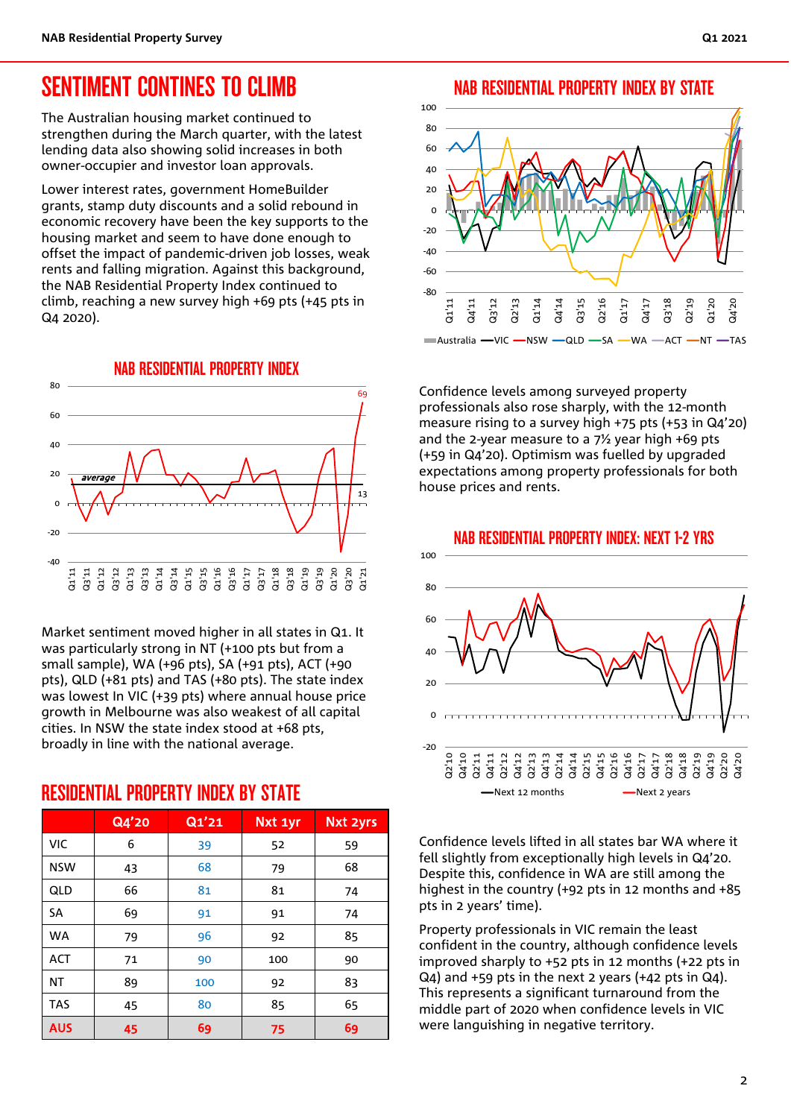### SENTIMENT CONTINES TO CLIMB

The Australian housing market continued to strengthen during the March quarter, with the latest lending data also showing solid increases in both owner-occupier and investor loan approvals.

Lower interest rates, government HomeBuilder grants, stamp duty discounts and a solid rebound in economic recovery have been the key supports to the housing market and seem to have done enough to offset the impact of pandemic-driven job losses, weak rents and falling migration. Against this background, the NAB Residential Property Index continued to climb, reaching a new survey high +69 pts (+45 pts in Q4 2020).



Market sentiment moved higher in all states in Q1. It was particularly strong in NT (+100 pts but from a small sample), WA (+96 pts), SA (+91 pts), ACT (+90 pts), QLD (+81 pts) and TAS (+80 pts). The state index was lowest In VIC (+39 pts) where annual house price growth in Melbourne was also weakest of all capital cities. In NSW the state index stood at +68 pts, broadly in line with the national average.

RESIDENTIAL PROPERTY INDEX BY STATE

|            | Q4'20 | Q1'21 | Nxt 1yr | <b>Nxt 2yrs</b> |
|------------|-------|-------|---------|-----------------|
| <b>VIC</b> | 6     | 39    | 52      | 59              |
| <b>NSW</b> | 43    | 68    | 79      | 68              |
| QLD        | 66    | 81    | 81      | 74              |
| <b>SA</b>  | 69    | 91    | 91      | 74              |
| <b>WA</b>  | 79    | 96    | 92      | 85              |
| <b>ACT</b> | 71    | 90    | 100     | 90              |
| ΝT         | 89    | 100   | 92      | 83              |
| <b>TAS</b> | 45    | 80    | 85      | 65              |
| <b>AUS</b> | 45    | 69    | 75      | 69              |

#### NAB RESIDENTIAL PROPERTY INDEX BY STATE



Confidence levels among surveyed property professionals also rose sharply, with the 12-month measure rising to a survey high +75 pts (+53 in Q4'20) and the 2-year measure to a  $7\frac{1}{2}$  year high +69 pts (+59 in Q4'20). Optimism was fuelled by upgraded expectations among property professionals for both house prices and rents.



Confidence levels lifted in all states bar WA where it fell slightly from exceptionally high levels in Q4'20. Despite this, confidence in WA are still among the highest in the country (+92 pts in 12 months and +85 pts in 2 years' time).

Property professionals in VIC remain the least confident in the country, although confidence levels improved sharply to +52 pts in 12 months (+22 pts in Q4) and +59 pts in the next 2 years (+42 pts in Q4). This represents a significant turnaround from the middle part of 2020 when confidence levels in VIC were languishing in negative territory.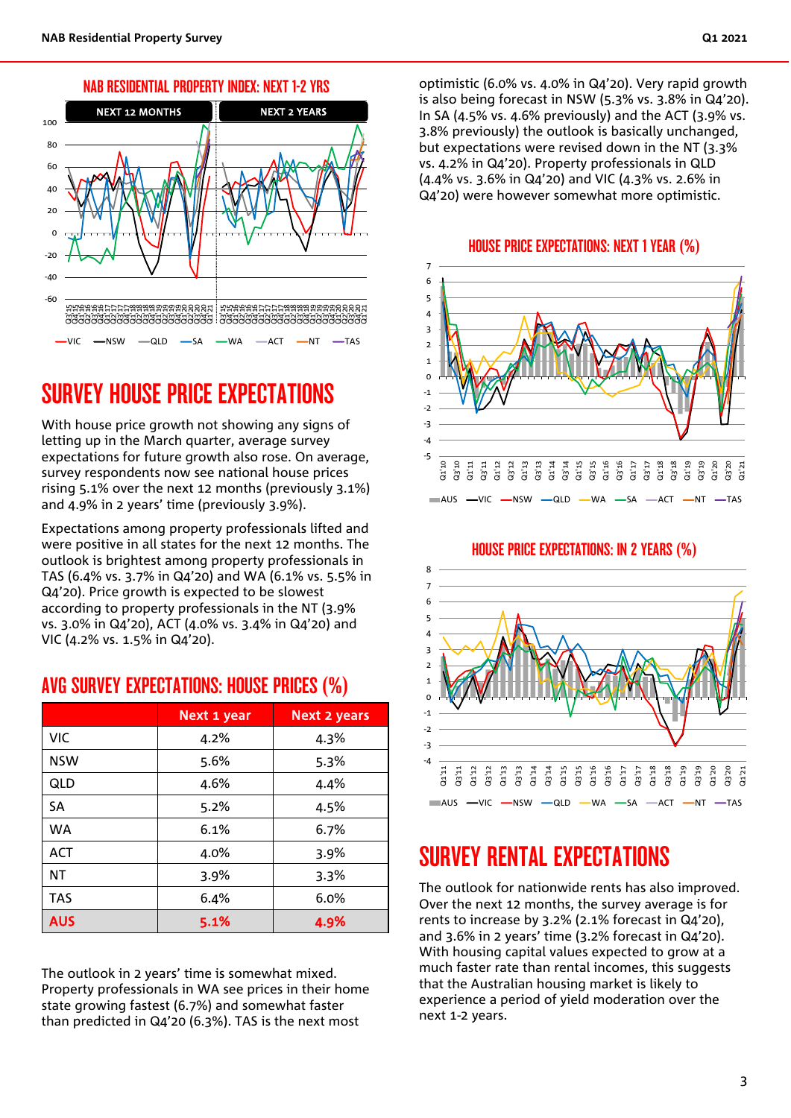



### SURVEY HOUSE PRICE EXPECTATIONS

With house price growth not showing any signs of letting up in the March quarter, average survey expectations for future growth also rose. On average, survey respondents now see national house prices rising 5.1% over the next 12 months (previously 3.1%) and 4.9% in 2 years' time (previously 3.9%).

Expectations among property professionals lifted and were positive in all states for the next 12 months. The outlook is brightest among property professionals in TAS (6.4% vs. 3.7% in Q4'20) and WA (6.1% vs. 5.5% in Q4'20). Price growth is expected to be slowest according to property professionals in the NT (3.9% vs. 3.0% in Q4'20), ACT (4.0% vs. 3.4% in Q4'20) and VIC (4.2% vs. 1.5% in Q4'20).

### AVG SURVEY EXPECTATIONS: HOUSE PRICES (%)

|            | Next 1 year | <b>Next 2 years</b> |  |
|------------|-------------|---------------------|--|
| <b>VIC</b> | 4.2%        | 4.3%                |  |
| <b>NSW</b> | 5.6%        | 5.3%                |  |
| QLD        | 4.6%        | 4.4%                |  |
| <b>SA</b>  | 5.2%        | 4.5%                |  |
| <b>WA</b>  | 6.1%        | 6.7%                |  |
| <b>ACT</b> | 4.0%        | $3.9\%$             |  |
| NΤ         | 3.9%        | 3.3%                |  |
| <b>TAS</b> | 6.4%        | 6.0%                |  |
| <b>AUS</b> | 5.1%        | 4.9%                |  |

The outlook in 2 years' time is somewhat mixed. Property professionals in WA see prices in their home state growing fastest (6.7%) and somewhat faster than predicted in Q4'20 (6.3%). TAS is the next most

optimistic (6.0% vs. 4.0% in Q4'20). Very rapid growth is also being forecast in NSW (5.3% vs. 3.8% in Q4'20). In SA (4.5% vs. 4.6% previously) and the ACT (3.9% vs. 3.8% previously) the outlook is basically unchanged, but expectations were revised down in the NT (3.3% vs. 4.2% in Q4'20). Property professionals in QLD (4.4% vs. 3.6% in Q4'20) and VIC (4.3% vs. 2.6% in Q4'20) were however somewhat more optimistic.

#### HOUSE PRICE EXPECTATIONS: NEXT 1 YEAR (%)





#### HOUSE PRICE EXPECTATIONS: IN 2 YEARS (%)

### SURVEY RENTAL EXPECTATIONS

The outlook for nationwide rents has also improved. Over the next 12 months, the survey average is for rents to increase by 3.2% (2.1% forecast in Q4'20), and 3.6% in 2 years' time (3.2% forecast in Q4'20). With housing capital values expected to grow at a much faster rate than rental incomes, this suggests that the Australian housing market is likely to experience a period of yield moderation over the next 1-2 years.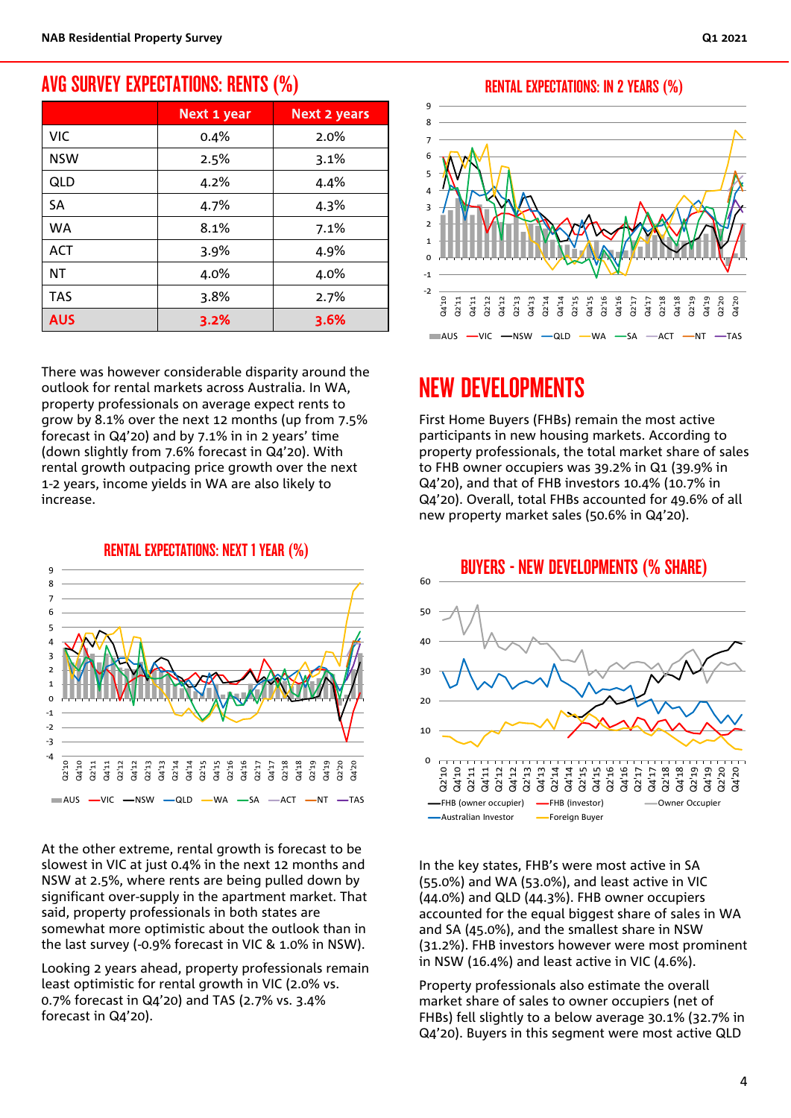### AVG SURVEY EXPECTATIONS: RENTS (%)

|            | Next 1 year | <b>Next 2 years</b> |  |
|------------|-------------|---------------------|--|
| VIC        | 0.4%        | 2.0%                |  |
| <b>NSW</b> | 2.5%        | 3.1%                |  |
| QLD        | 4.2%        | 4.4%                |  |
| SA         | 4.7%        | 4.3%                |  |
| <b>WA</b>  | 8.1%        | 7.1%                |  |
| <b>ACT</b> | 3.9%        | 4.9%                |  |
| ΝT         | 4.0%        | 4.0%                |  |
| <b>TAS</b> | 3.8%        | 2.7%                |  |
| <b>AUS</b> | 3.2%        | 3.6%                |  |

There was however considerable disparity around the outlook for rental markets across Australia. In WA, property professionals on average expect rents to grow by 8.1% over the next 12 months (up from 7.5% forecast in Q4'20) and by 7.1% in in 2 years' time (down slightly from 7.6% forecast in Q4'20). With rental growth outpacing price growth over the next 1-2 years, income yields in WA are also likely to increase.



At the other extreme, rental growth is forecast to be slowest in VIC at just 0.4% in the next 12 months and NSW at 2.5%, where rents are being pulled down by significant over-supply in the apartment market. That said, property professionals in both states are somewhat more optimistic about the outlook than in the last survey (-0.9% forecast in VIC & 1.0% in NSW).

Looking 2 years ahead, property professionals remain least optimistic for rental growth in VIC (2.0% vs. 0.7% forecast in Q4'20) and TAS (2.7% vs. 3.4% forecast in Q4'20).

RENTAL EXPECTATIONS: IN 2 YEARS (%)



## NEW DEVELOPMENTS

First Home Buyers (FHBs) remain the most active participants in new housing markets. According to property professionals, the total market share of sales to FHB owner occupiers was 39.2% in Q1 (39.9% in Q4'20), and that of FHB investors 10.4% (10.7% in Q4'20). Overall, total FHBs accounted for 49.6% of all new property market sales (50.6% in Q4'20).



In the key states, FHB's were most active in SA (55.0%) and WA (53.0%), and least active in VIC (44.0%) and QLD (44.3%). FHB owner occupiers accounted for the equal biggest share of sales in WA and SA (45.0%), and the smallest share in NSW (31.2%). FHB investors however were most prominent in NSW (16.4%) and least active in VIC (4.6%).

Property professionals also estimate the overall market share of sales to owner occupiers (net of FHBs) fell slightly to a below average 30.1% (32.7% in Q4'20). Buyers in this segment were most active QLD

RENTAL EXPECTATIONS: NEXT 1 YEAR (%)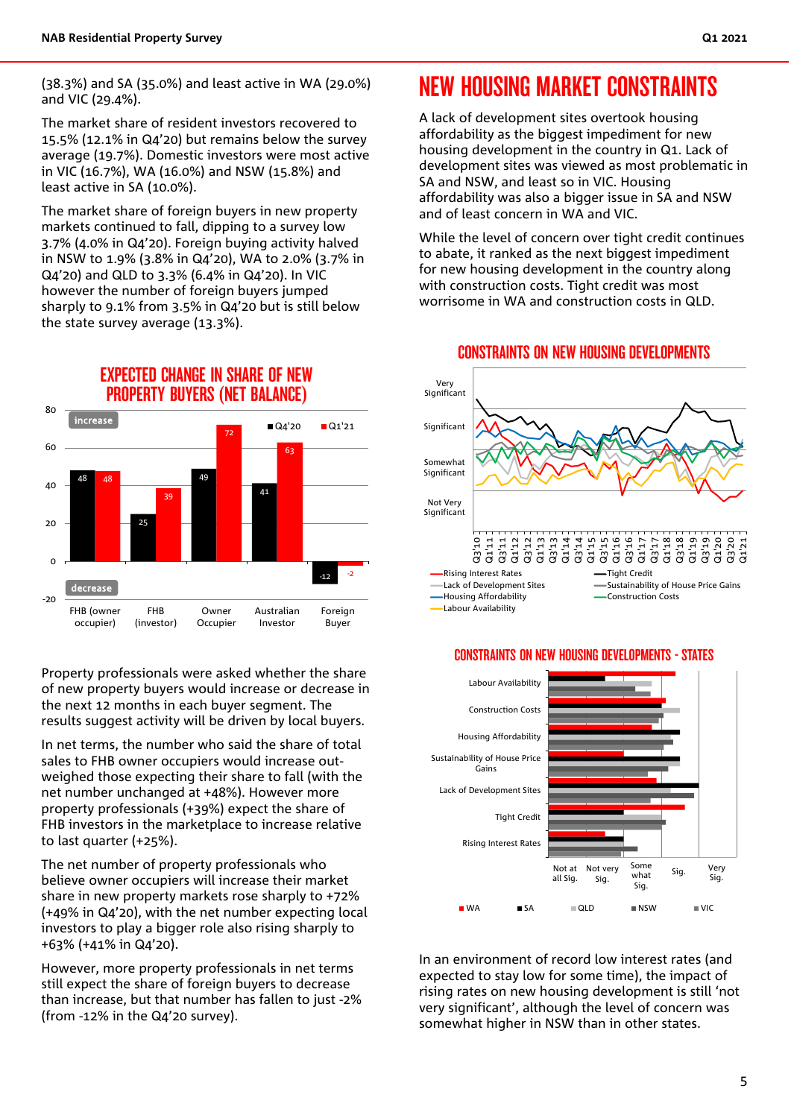(38.3%) and SA (35.0%) and least active in WA (29.0%) and VIC (29.4%).

The market share of resident investors recovered to 15.5% (12.1% in Q4'20) but remains below the survey average (19.7%). Domestic investors were most active in VIC (16.7%), WA (16.0%) and NSW (15.8%) and least active in SA (10.0%).

The market share of foreign buyers in new property markets continued to fall, dipping to a survey low 3.7% (4.0% in Q4'20). Foreign buying activity halved in NSW to 1.9% (3.8% in Q4'20), WA to 2.0% (3.7% in Q4'20) and QLD to 3.3% (6.4% in Q4'20). In VIC however the number of foreign buyers jumped sharply to 9.1% from 3.5% in Q4'20 but is still below the state survey average (13.3%).



Property professionals were asked whether the share of new property buyers would increase or decrease in the next 12 months in each buyer segment. The results suggest activity will be driven by local buyers.

In net terms, the number who said the share of total sales to FHB owner occupiers would increase outweighed those expecting their share to fall (with the net number unchanged at +48%). However more property professionals (+39%) expect the share of FHB investors in the marketplace to increase relative to last quarter (+25%).

The net number of property professionals who believe owner occupiers will increase their market share in new property markets rose sharply to +72% (+49% in Q4'20), with the net number expecting local investors to play a bigger role also rising sharply to +63% (+41% in Q4'20).

However, more property professionals in net terms still expect the share of foreign buyers to decrease than increase, but that number has fallen to just -2% (from -12% in the Q4'20 survey).

## NEW HOUSING MARKET CONSTRAINTS

A lack of development sites overtook housing affordability as the biggest impediment for new housing development in the country in Q1. Lack of development sites was viewed as most problematic in SA and NSW, and least so in VIC. Housing affordability was also a bigger issue in SA and NSW and of least concern in WA and VIC.

While the level of concern over tight credit continues to abate, it ranked as the next biggest impediment for new housing development in the country along with construction costs. Tight credit was most worrisome in WA and construction costs in QLD.



#### CONSTRAINTS ON NEW HOUSING DEVELOPMENTS

#### CONSTRAINTS ON NEW HOUSING DEVELOPMENTS - STATES



In an environment of record low interest rates (and expected to stay low for some time), the impact of rising rates on new housing development is still 'not very significant', although the level of concern was somewhat higher in NSW than in other states.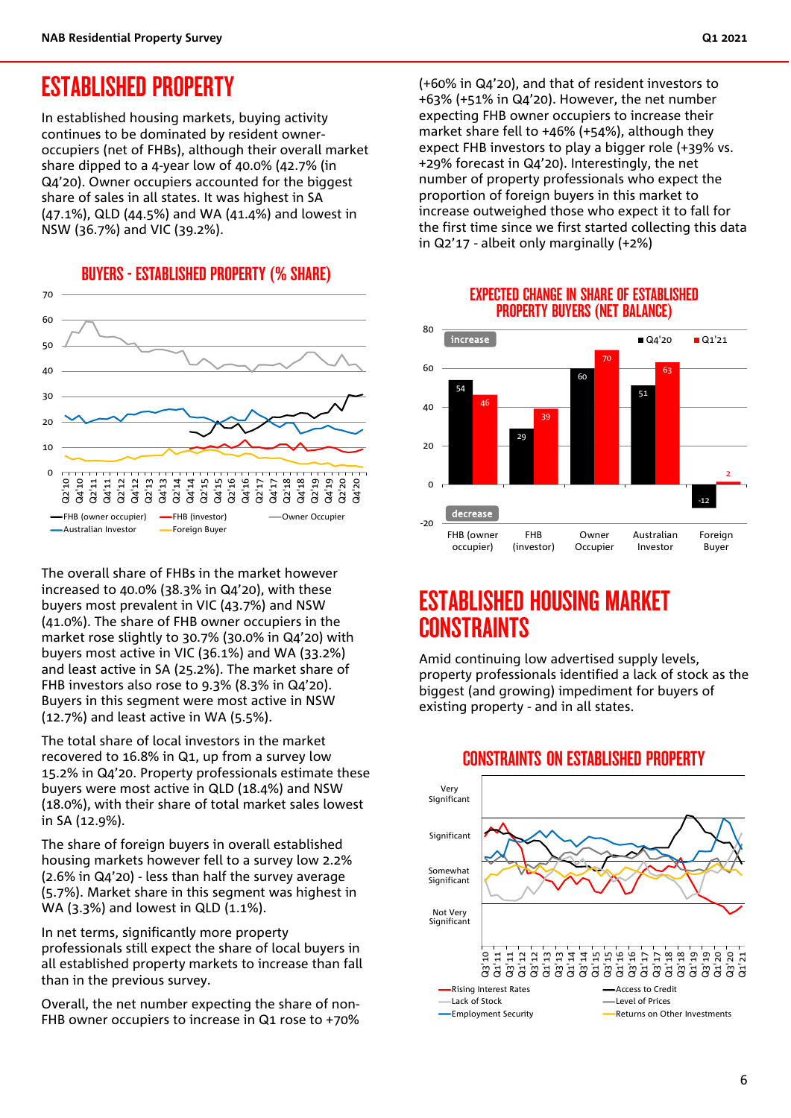### ESTABLISHED PROPERTY

In established housing markets, buying activity continues to be dominated by resident owneroccupiers (net of FHBs), although their overall market share dipped to a 4-year low of 40.0% (42.7% (in Q4'20). Owner occupiers accounted for the biggest share of sales in all states. It was highest in SA (47.1%), QLD (44.5%) and WA (41.4%) and lowest in NSW (36.7%) and VIC (39.2%).





The overall share of FHBs in the market however increased to 40.0% (38.3% in Q4'20), with these buyers most prevalent in VIC (43.7%) and NSW (41.0%). The share of FHB owner occupiers in the market rose slightly to 30.7% (30.0% in Q4'20) with buyers most active in VIC (36.1%) and WA (33.2%) and least active in SA (25.2%). The market share of FHB investors also rose to 9.3% (8.3% in Q4'20). Buyers in this segment were most active in NSW (12.7%) and least active in WA (5.5%).

The total share of local investors in the market recovered to 16.8% in Q1, up from a survey low 15.2% in Q4'20. Property professionals estimate these buyers were most active in QLD (18.4%) and NSW (18.0%), with their share of total market sales lowest in SA (12.9%).

The share of foreign buyers in overall established housing markets however fell to a survey low 2.2% (2.6% in Q4'20) - less than half the survey average (5.7%). Market share in this segment was highest in WA (3.3%) and lowest in QLD (1.1%).

In net terms, significantly more property professionals still expect the share of local buyers in all established property markets to increase than fall than in the previous survey.

Overall, the net number expecting the share of non-FHB owner occupiers to increase in Q1 rose to +70%

(+60% in Q4'20), and that of resident investors to +63% (+51% in Q4'20). However, the net number expecting FHB owner occupiers to increase their market share fell to +46% (+54%), although they expect FHB investors to play a bigger role (+39% vs. +29% forecast in Q4'20). Interestingly, the net number of property professionals who expect the proportion of foreign buyers in this market to increase outweighed those who expect it to fall for the first time since we first started collecting this data in Q2'17 - albeit only marginally (+2%)



#### EXPECTED CHANGE IN SHARE OF ESTABLISHED PROPERTY BUYERS (NET BALANCE)

### ESTABLISHED HOUSING MARKET CONSTRAINTS

Amid continuing low advertised supply levels, property professionals identified a lack of stock as the biggest (and growing) impediment for buyers of existing property - and in all states.



#### CONSTRAINTS ON ESTABLISHED PROPERTY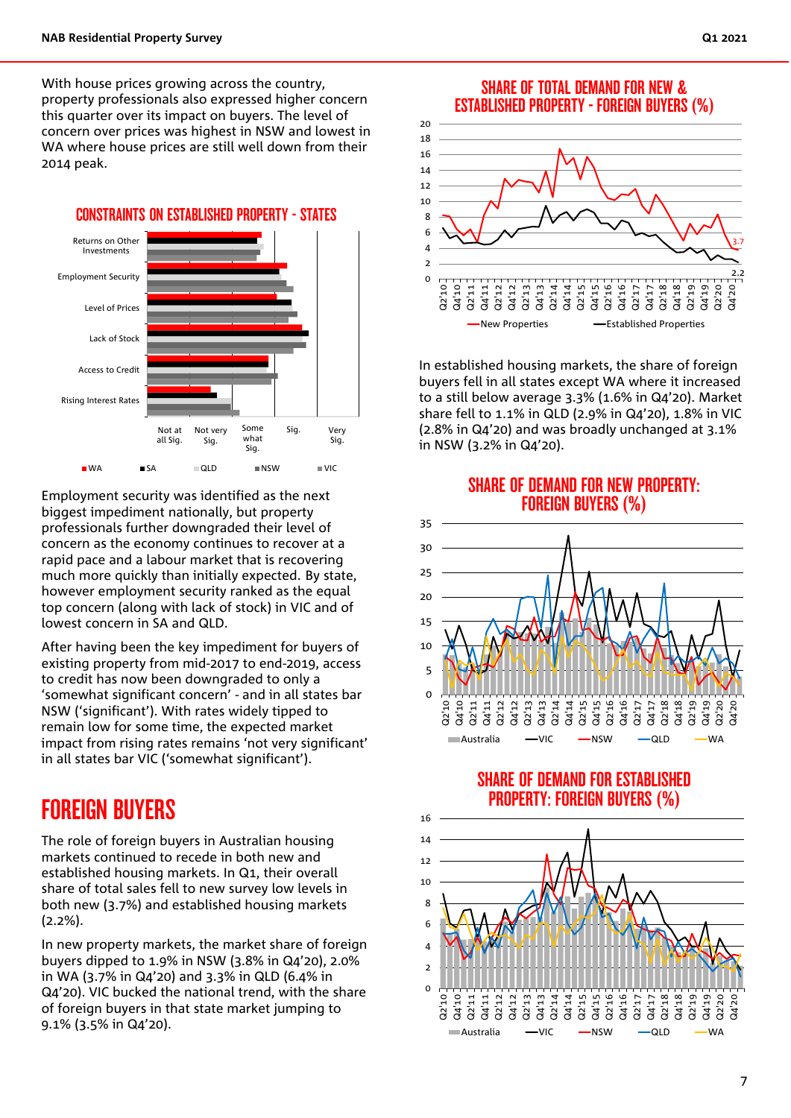With house prices growing across the country, property professionals also expressed higher concern this quarter over its impact on buyers. The level of concern over prices was highest in NSW and lowest in WA where house prices are still well down from their 2014 peak.

Not at Not very Some Sig. Very Rising Interest Rates Access to Credit Lack of Stock Level of Prices Employment Security Returns on Other Investments CONSTRAINTS ON ESTABLISHED PROPERTY - STATES WA ■SA QLD ■NSW ■VIC Not at all Sig. Sig. Some what Sig. Sia. Very Sig.

Employment security was identified as the next biggest impediment nationally, but property professionals further downgraded their level of concern as the economy continues to recover at a rapid pace and a labour market that is recovering much more quickly than initially expected. By state, however employment security ranked as the equal top concern (along with lack of stock) in VIC and of lowest concern in SA and QLD.

After having been the key impediment for buyers of existing property from mid-2017 to end-2019, access to credit has now been downgraded to only a 'somewhat significant concern' - and in all states bar NSW ('significant'). With rates widely tipped to remain low for some time, the expected market impact from rising rates remains 'not very significant' in all states bar VIC ('somewhat significant').

### FOREIGN BUYERS

The role of foreign buyers in Australian housing markets continued to recede in both new and established housing markets. In Q1, their overall share of total sales fell to new survey low levels in both new (3.7%) and established housing markets (2.2%).

In new property markets, the market share of foreign buyers dipped to 1.9% in NSW (3.8% in Q4'20), 2.0% in WA (3.7% in Q4'20) and 3.3% in QLD (6.4% in Q4'20). VIC bucked the national trend, with the share of foreign buyers in that state market jumping to 9.1% (3.5% in Q4'20).

#### SHARE OF TOTAL DEMAND FOR NEW & ESTABLISHED PROPERTY - FOREIGN BUYERS (%)



In established housing markets, the share of foreign buyers fell in all states except WA where it increased to a still below average 3.3% (1.6% in Q4'20). Market share fell to 1.1% in QLD (2.9% in Q4'20), 1.8% in VIC (2.8% in Q4'20) and was broadly unchanged at 3.1% in NSW (3.2% in Q4'20).

SHARE OF DEMAND FOR NEW PROPERTY: FOREIGN BUYERS (%)





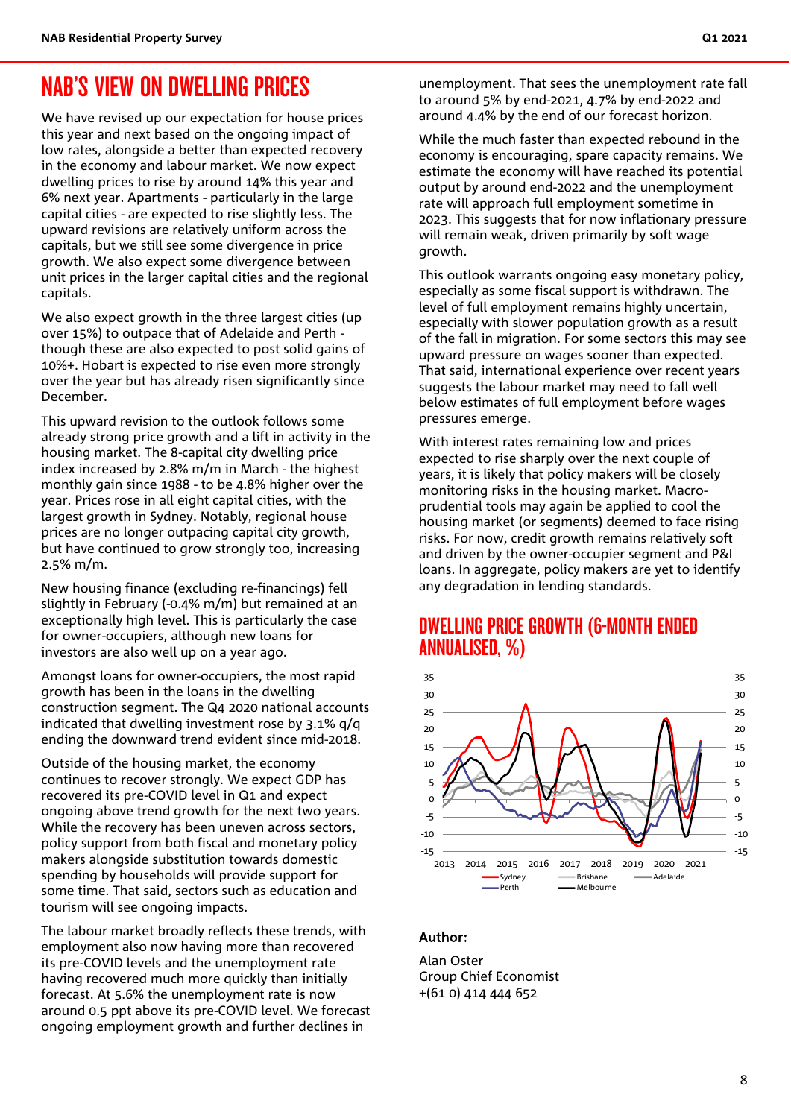### NAB'S VIEW ON DWELLING PRICES

We have revised up our expectation for house prices this year and next based on the ongoing impact of low rates, alongside a better than expected recovery in the economy and labour market. We now expect dwelling prices to rise by around 14% this year and 6% next year. Apartments - particularly in the large capital cities - are expected to rise slightly less. The upward revisions are relatively uniform across the capitals, but we still see some divergence in price growth. We also expect some divergence between unit prices in the larger capital cities and the regional capitals.

We also expect growth in the three largest cities (up over 15%) to outpace that of Adelaide and Perth though these are also expected to post solid gains of 10%+. Hobart is expected to rise even more strongly over the year but has already risen significantly since December.

This upward revision to the outlook follows some already strong price growth and a lift in activity in the housing market. The 8-capital city dwelling price index increased by 2.8% m/m in March - the highest monthly gain since 1988 - to be 4.8% higher over the year. Prices rose in all eight capital cities, with the largest growth in Sydney. Notably, regional house prices are no longer outpacing capital city growth, but have continued to grow strongly too, increasing 2.5% m/m.

New housing finance (excluding re-financings) fell slightly in February (-0.4% m/m) but remained at an exceptionally high level. This is particularly the case for owner-occupiers, although new loans for investors are also well up on a year ago.

Amongst loans for owner-occupiers, the most rapid growth has been in the loans in the dwelling construction segment. The Q4 2020 national accounts indicated that dwelling investment rose by 3.1% q/q ending the downward trend evident since mid-2018.

Outside of the housing market, the economy continues to recover strongly. We expect GDP has recovered its pre-COVID level in Q1 and expect ongoing above trend growth for the next two years. While the recovery has been uneven across sectors, policy support from both fiscal and monetary policy makers alongside substitution towards domestic spending by households will provide support for some time. That said, sectors such as education and tourism will see ongoing impacts.

The labour market broadly reflects these trends, with employment also now having more than recovered its pre-COVID levels and the unemployment rate having recovered much more quickly than initially forecast. At 5.6% the unemployment rate is now around 0.5 ppt above its pre-COVID level. We forecast ongoing employment growth and further declines in

unemployment. That sees the unemployment rate fall to around 5% by end-2021, 4.7% by end-2022 and around 4.4% by the end of our forecast horizon.

While the much faster than expected rebound in the economy is encouraging, spare capacity remains. We estimate the economy will have reached its potential output by around end-2022 and the unemployment rate will approach full employment sometime in 2023. This suggests that for now inflationary pressure will remain weak, driven primarily by soft wage growth.

This outlook warrants ongoing easy monetary policy, especially as some fiscal support is withdrawn. The level of full employment remains highly uncertain, especially with slower population growth as a result of the fall in migration. For some sectors this may see upward pressure on wages sooner than expected. That said, international experience over recent years suggests the labour market may need to fall well below estimates of full employment before wages pressures emerge.

With interest rates remaining low and prices expected to rise sharply over the next couple of years, it is likely that policy makers will be closely monitoring risks in the housing market. Macroprudential tools may again be applied to cool the housing market (or segments) deemed to face rising risks. For now, credit growth remains relatively soft and driven by the owner-occupier segment and P&I loans. In aggregate, policy makers are yet to identify any degradation in lending standards.

### DWELLING PRICE GROWTH (6-MONTH ENDED ANNUALISED, %)



#### Author:

Alan Oster Group Chief Economist +(61 0) 414 444 652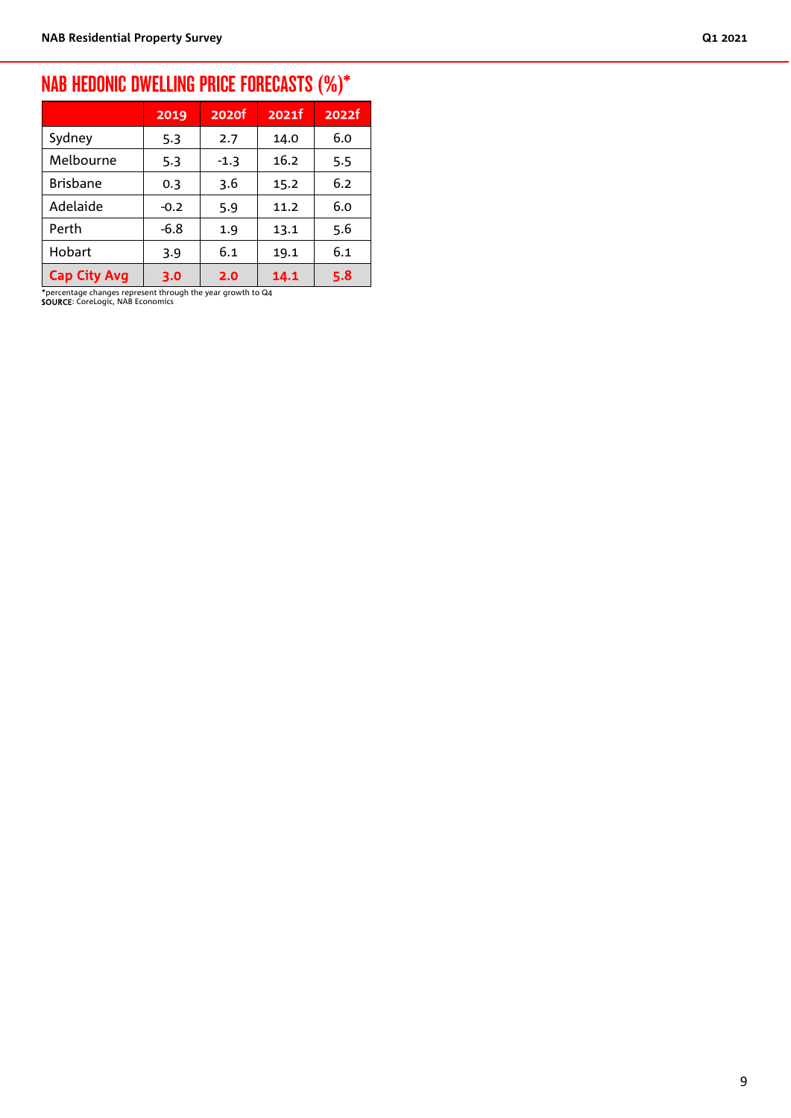# NAB HEDONIC DWELLING PRICE FORECASTS (%)\*

|                     | 2019   | 2020f  | 2021f | 2022f |
|---------------------|--------|--------|-------|-------|
| Sydney              | 5.3    | 2.7    | 14.0  | 6.0   |
| Melbourne           | 5.3    | $-1.3$ | 16.2  | 5.5   |
| <b>Brisbane</b>     | 0.3    | 3.6    | 15.2  | 6.2   |
| Adelaide            | $-0.2$ | 5.9    | 11.2  | 6.0   |
| Perth               | $-6.8$ | 1.9    | 13.1  | 5.6   |
| Hobart              | 3.9    | 6.1    | 19.1  | 6.1   |
| <b>Cap City Avg</b> | 3.0    | 2.0    | 14.1  | 5.8   |

\*percentage changes represent through the year growth to Q4 SOURCE: CoreLogic, NAB Economics